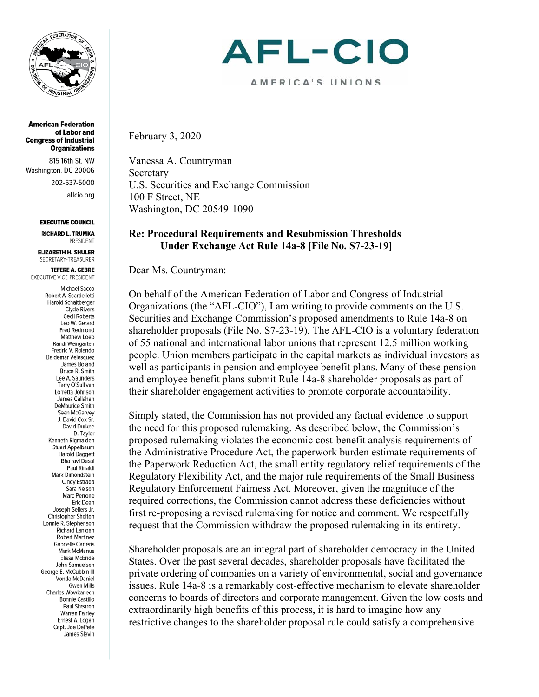

**American Federation** of Labor and **Congress of Industrial Organizations** 

815 16th St. NW Washington, DC 20006 202-637-5000 aflcio.org

#### **EXECUTIVE COUNCIL**

**RICHARD L. TRUMKA PRESIDENT** 

**ELIZABETH H. SHULER** SECRETARY-TREASURER

**TEFERE A. GEBRE** EXECUTIVE VICE PRESIDENT

> **Michael Sacco** Robert A. Scardelletti Harold Schaitberger **Clyde Rivers Cecil Roberts** Leo W. Gerard Fred Redmond Matthew Loeb Randi Weingarten Fredric V. Rolando **Baldemar Velasquez** James Boland Bruce R. Smith Lee A. Saunders Terry O'Sullivan Lorretta Johnson James Callahan **DeMaurice Smith** Sean McGarvey J. David Cox Sr. David Durkee D. Taylor Kenneth Rigmaiden Stuart Appelbaum Harold Daggett **Bhairavi Desai** Paul Rinaldi Mark Dimondstein Cindy Estrada Sara Nelson Marc Perrone Eric Dean Joseph Sellers Jr. **Christopher Shelton** Lonnie R. Stephenson Richard Lanigan Robert Martinez **Gabrielle Carteris Mark McManus** Elissa McBride John Samuelsen George E. McCubbin III Vonda McDaniel **Gwen Mills** Charles Wowkanech **Bonnie Castillo** Paul Shearon **Warren Fairley** Ernest A. Logan Capt. Joe DePete James Slevin

# AFL-CIO

AMERICA'S UNIONS

February 3, 2020

Vanessa A. Countryman Secretary U.S. Securities and Exchange Commission 100 F Street, NE Washington, DC 20549-1090

#### **Re: Procedural Requirements and Resubmission Thresholds Under Exchange Act Rule 14a-8 [File No. S7-23-19]**

Dear Ms. Countryman:

On behalf of the American Federation of Labor and Congress of Industrial Organizations (the "AFL-CIO"), I am writing to provide comments on the U.S. Securities and Exchange Commission's proposed amendments to Rule 14a-8 on shareholder proposals (File No. S7-23-19). The AFL-CIO is a voluntary federation of 55 national and international labor unions that represent 12.5 million working people. Union members participate in the capital markets as individual investors as well as participants in pension and employee benefit plans. Many of these pension and employee benefit plans submit Rule 14a-8 shareholder proposals as part of their shareholder engagement activities to promote corporate accountability.

Simply stated, the Commission has not provided any factual evidence to support the need for this proposed rulemaking. As described below, the Commission's proposed rulemaking violates the economic cost-benefit analysis requirements of the Administrative Procedure Act, the paperwork burden estimate requirements of the Paperwork Reduction Act, the small entity regulatory relief requirements of the Regulatory Flexibility Act, and the major rule requirements of the Small Business Regulatory Enforcement Fairness Act. Moreover, given the magnitude of the required corrections, the Commission cannot address these deficiencies without first re-proposing a revised rulemaking for notice and comment. We respectfully request that the Commission withdraw the proposed rulemaking in its entirety.

Shareholder proposals are an integral part of shareholder democracy in the United States. Over the past several decades, shareholder proposals have facilitated the private ordering of companies on a variety of environmental, social and governance issues. Rule 14a-8 is a remarkably cost-effective mechanism to elevate shareholder concerns to boards of directors and corporate management. Given the low costs and extraordinarily high benefits of this process, it is hard to imagine how any restrictive changes to the shareholder proposal rule could satisfy a comprehensive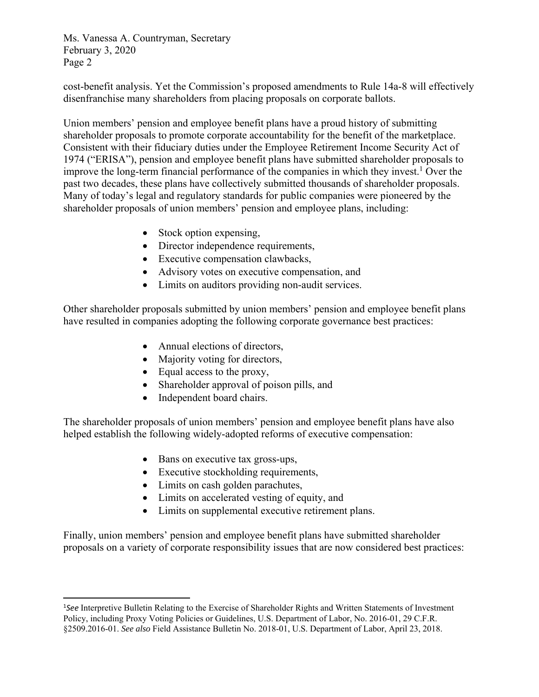cost-benefit analysis. Yet the Commission's proposed amendments to Rule 14a-8 will effectively disenfranchise many shareholders from placing proposals on corporate ballots.

Union members' pension and employee benefit plans have a proud history of submitting shareholder proposals to promote corporate accountability for the benefit of the marketplace. Consistent with their fiduciary duties under the Employee Retirement Income Security Act of 1974 ("ERISA"), pension and employee benefit plans have submitted shareholder proposals to improve the long-term financial performance of the companies in which they invest.<sup>1</sup> Over the past two decades, these plans have collectively submitted thousands of shareholder proposals. Many of today's legal and regulatory standards for public companies were pioneered by the shareholder proposals of union members' pension and employee plans, including:

- Stock option expensing,
- Director independence requirements,
- Executive compensation clawbacks,
- Advisory votes on executive compensation, and
- Limits on auditors providing non-audit services.

Other shareholder proposals submitted by union members' pension and employee benefit plans have resulted in companies adopting the following corporate governance best practices:

- Annual elections of directors,
- Majority voting for directors,
- Equal access to the proxy,
- Shareholder approval of poison pills, and
- Independent board chairs.

The shareholder proposals of union members' pension and employee benefit plans have also helped establish the following widely-adopted reforms of executive compensation:

- Bans on executive tax gross-ups,
- Executive stockholding requirements,
- Limits on cash golden parachutes,

- Limits on accelerated vesting of equity, and
- Limits on supplemental executive retirement plans.

Finally, union members' pension and employee benefit plans have submitted shareholder proposals on a variety of corporate responsibility issues that are now considered best practices:

<sup>1</sup> *See* Interpretive Bulletin Relating to the Exercise of Shareholder Rights and Written Statements of Investment Policy, including Proxy Voting Policies or Guidelines, U.S. Department of Labor, No. 2016-01, 29 C.F.R. §2509.2016-01. *See also* Field Assistance Bulletin No. 2018-01, U.S. Department of Labor, April 23, 2018.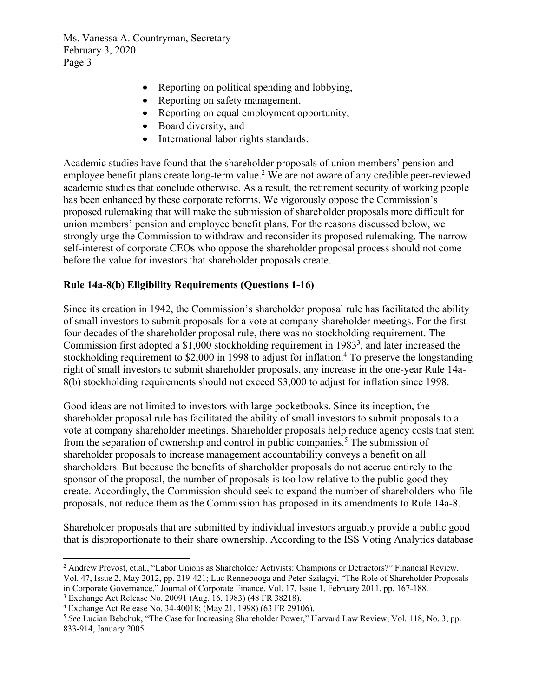- Reporting on political spending and lobbying,
- Reporting on safety management,
- Reporting on equal employment opportunity,
- Board diversity, and
- International labor rights standards.

Academic studies have found that the shareholder proposals of union members' pension and employee benefit plans create long-term value.<sup>2</sup> We are not aware of any credible peer-reviewed academic studies that conclude otherwise. As a result, the retirement security of working people has been enhanced by these corporate reforms. We vigorously oppose the Commission's proposed rulemaking that will make the submission of shareholder proposals more difficult for union members' pension and employee benefit plans. For the reasons discussed below, we strongly urge the Commission to withdraw and reconsider its proposed rulemaking. The narrow self-interest of corporate CEOs who oppose the shareholder proposal process should not come before the value for investors that shareholder proposals create.

#### **Rule 14a-8(b) Eligibility Requirements (Questions 1-16)**

Since its creation in 1942, the Commission's shareholder proposal rule has facilitated the ability of small investors to submit proposals for a vote at company shareholder meetings. For the first four decades of the shareholder proposal rule, there was no stockholding requirement. The Commission first adopted a  $$1,000$  stockholding requirement in 1983<sup>3</sup>, and later increased the stockholding requirement to \$2,000 in 1998 to adjust for inflation.<sup>4</sup> To preserve the longstanding right of small investors to submit shareholder proposals, any increase in the one-year Rule 14a-8(b) stockholding requirements should not exceed \$3,000 to adjust for inflation since 1998.

Good ideas are not limited to investors with large pocketbooks. Since its inception, the shareholder proposal rule has facilitated the ability of small investors to submit proposals to a vote at company shareholder meetings. Shareholder proposals help reduce agency costs that stem from the separation of ownership and control in public companies.<sup>5</sup> The submission of shareholder proposals to increase management accountability conveys a benefit on all shareholders. But because the benefits of shareholder proposals do not accrue entirely to the sponsor of the proposal, the number of proposals is too low relative to the public good they create. Accordingly, the Commission should seek to expand the number of shareholders who file proposals, not reduce them as the Commission has proposed in its amendments to Rule 14a-8.

Shareholder proposals that are submitted by individual investors arguably provide a public good that is disproportionate to their share ownership. According to the ISS Voting Analytics database

 <sup>2</sup> Andrew Prevost, et.al., "Labor Unions as Shareholder Activists: Champions or Detractors?" Financial Review, Vol. 47, Issue 2, May 2012, pp. 219-421; Luc Rennebooga and Peter Szilagyi, "The Role of Shareholder Proposals in Corporate Governance," Journal of Corporate Finance, Vol. 17, Issue 1, February 2011, pp. 167-188.

<sup>3</sup> Exchange Act Release No. 20091 (Aug. 16, 1983) (48 FR 38218).

<sup>&</sup>lt;sup>4</sup> Exchange Act Release No. 34-40018; (May 21, 1998) (63 FR 29106).

<sup>&</sup>lt;sup>5</sup> See Lucian Bebchuk, "The Case for Increasing Shareholder Power," Harvard Law Review, Vol. 118, No. 3, pp. 833-914, January 2005.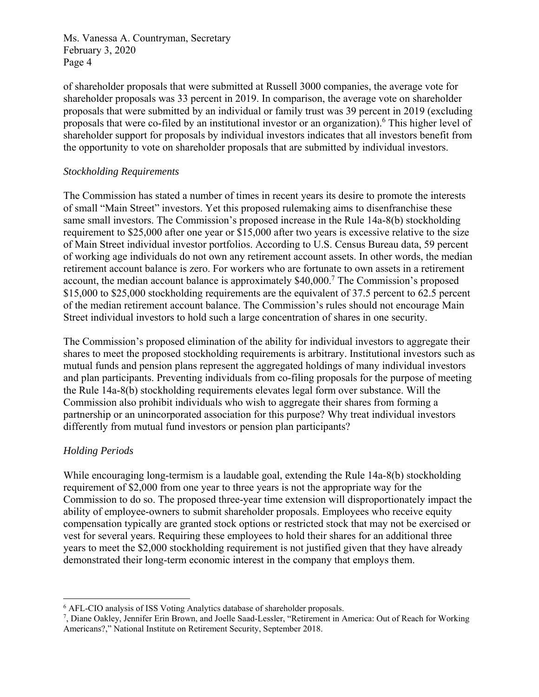of shareholder proposals that were submitted at Russell 3000 companies, the average vote for shareholder proposals was 33 percent in 2019. In comparison, the average vote on shareholder proposals that were submitted by an individual or family trust was 39 percent in 2019 (excluding proposals that were co-filed by an institutional investor or an organization). <sup>6</sup> This higher level of shareholder support for proposals by individual investors indicates that all investors benefit from the opportunity to vote on shareholder proposals that are submitted by individual investors.

### *Stockholding Requirements*

The Commission has stated a number of times in recent years its desire to promote the interests of small "Main Street" investors. Yet this proposed rulemaking aims to disenfranchise these same small investors. The Commission's proposed increase in the Rule 14a-8(b) stockholding requirement to \$25,000 after one year or \$15,000 after two years is excessive relative to the size of Main Street individual investor portfolios. According to U.S. Census Bureau data, 59 percent of working age individuals do not own any retirement account assets. In other words, the median retirement account balance is zero. For workers who are fortunate to own assets in a retirement account, the median account balance is approximately \$40,000.<sup>7</sup> The Commission's proposed \$15,000 to \$25,000 stockholding requirements are the equivalent of 37.5 percent to 62.5 percent of the median retirement account balance. The Commission's rules should not encourage Main Street individual investors to hold such a large concentration of shares in one security.

The Commission's proposed elimination of the ability for individual investors to aggregate their shares to meet the proposed stockholding requirements is arbitrary. Institutional investors such as mutual funds and pension plans represent the aggregated holdings of many individual investors and plan participants. Preventing individuals from co-filing proposals for the purpose of meeting the Rule 14a-8(b) stockholding requirements elevates legal form over substance. Will the Commission also prohibit individuals who wish to aggregate their shares from forming a partnership or an unincorporated association for this purpose? Why treat individual investors differently from mutual fund investors or pension plan participants?

### *Holding Periods*

While encouraging long-termism is a laudable goal, extending the Rule 14a-8(b) stockholding requirement of \$2,000 from one year to three years is not the appropriate way for the Commission to do so. The proposed three-year time extension will disproportionately impact the ability of employee-owners to submit shareholder proposals. Employees who receive equity compensation typically are granted stock options or restricted stock that may not be exercised or vest for several years. Requiring these employees to hold their shares for an additional three years to meet the \$2,000 stockholding requirement is not justified given that they have already demonstrated their long-term economic interest in the company that employs them.

 <sup>6</sup> AFL-CIO analysis of ISS Voting Analytics database of shareholder proposals.<br><sup>7</sup> Diane Oakley, Jennifer Frin Brown, and Joelle Saad-Lessler, "Retirement in A

<sup>,</sup> Diane Oakley, Jennifer Erin Brown, and Joelle Saad-Lessler, "Retirement in America: Out of Reach for Working Americans?," National Institute on Retirement Security, September 2018.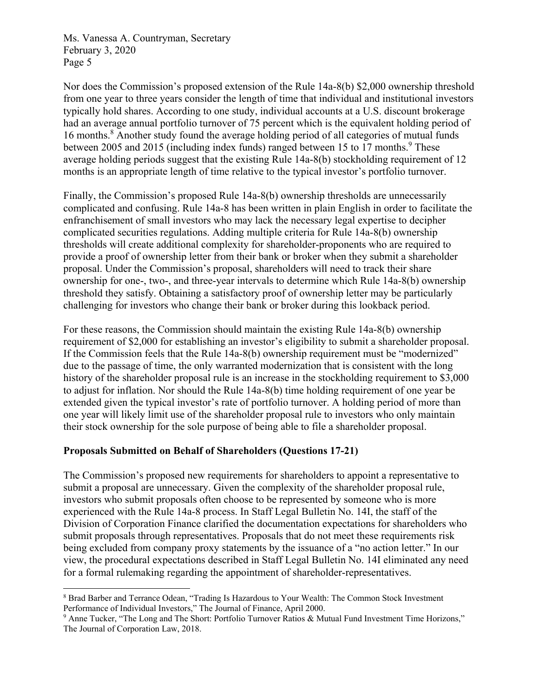Nor does the Commission's proposed extension of the Rule 14a-8(b) \$2,000 ownership threshold from one year to three years consider the length of time that individual and institutional investors typically hold shares. According to one study, individual accounts at a U.S. discount brokerage had an average annual portfolio turnover of 75 percent which is the equivalent holding period of 16 months.<sup>8</sup> Another study found the average holding period of all categories of mutual funds between 2005 and 2015 (including index funds) ranged between 15 to 17 months.<sup>9</sup> These average holding periods suggest that the existing Rule 14a-8(b) stockholding requirement of 12 months is an appropriate length of time relative to the typical investor's portfolio turnover.

Finally, the Commission's proposed Rule 14a-8(b) ownership thresholds are unnecessarily complicated and confusing. Rule 14a-8 has been written in plain English in order to facilitate the enfranchisement of small investors who may lack the necessary legal expertise to decipher complicated securities regulations. Adding multiple criteria for Rule 14a-8(b) ownership thresholds will create additional complexity for shareholder-proponents who are required to provide a proof of ownership letter from their bank or broker when they submit a shareholder proposal. Under the Commission's proposal, shareholders will need to track their share ownership for one-, two-, and three-year intervals to determine which Rule 14a-8(b) ownership threshold they satisfy. Obtaining a satisfactory proof of ownership letter may be particularly challenging for investors who change their bank or broker during this lookback period.

For these reasons, the Commission should maintain the existing Rule 14a-8(b) ownership requirement of \$2,000 for establishing an investor's eligibility to submit a shareholder proposal. If the Commission feels that the Rule 14a-8(b) ownership requirement must be "modernized" due to the passage of time, the only warranted modernization that is consistent with the long history of the shareholder proposal rule is an increase in the stockholding requirement to \$3,000 to adjust for inflation. Nor should the Rule 14a-8(b) time holding requirement of one year be extended given the typical investor's rate of portfolio turnover. A holding period of more than one year will likely limit use of the shareholder proposal rule to investors who only maintain their stock ownership for the sole purpose of being able to file a shareholder proposal.

### **Proposals Submitted on Behalf of Shareholders (Questions 17-21)**

The Commission's proposed new requirements for shareholders to appoint a representative to submit a proposal are unnecessary. Given the complexity of the shareholder proposal rule, investors who submit proposals often choose to be represented by someone who is more experienced with the Rule 14a-8 process. In Staff Legal Bulletin No. 14I, the staff of the Division of Corporation Finance clarified the documentation expectations for shareholders who submit proposals through representatives. Proposals that do not meet these requirements risk being excluded from company proxy statements by the issuance of a "no action letter." In our view, the procedural expectations described in Staff Legal Bulletin No. 14I eliminated any need for a formal rulemaking regarding the appointment of shareholder-representatives.

<sup>&</sup>lt;sup>8</sup> Brad Barber and Terrance Odean, "Trading Is Hazardous to Your Wealth: The Common Stock Investment Performance of Individual Investors," The Journal of Finance, April 2000.

<sup>&</sup>lt;sup>9</sup> Anne Tucker, "The Long and The Short: Portfolio Turnover Ratios & Mutual Fund Investment Time Horizons," The Journal of Corporation Law, 2018.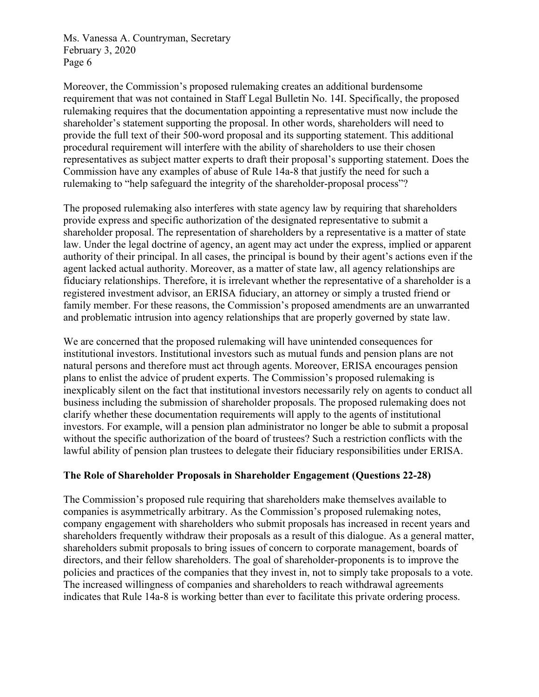Moreover, the Commission's proposed rulemaking creates an additional burdensome requirement that was not contained in Staff Legal Bulletin No. 14I. Specifically, the proposed rulemaking requires that the documentation appointing a representative must now include the shareholder's statement supporting the proposal. In other words, shareholders will need to provide the full text of their 500-word proposal and its supporting statement. This additional procedural requirement will interfere with the ability of shareholders to use their chosen representatives as subject matter experts to draft their proposal's supporting statement. Does the Commission have any examples of abuse of Rule 14a-8 that justify the need for such a rulemaking to "help safeguard the integrity of the shareholder-proposal process"?

The proposed rulemaking also interferes with state agency law by requiring that shareholders provide express and specific authorization of the designated representative to submit a shareholder proposal. The representation of shareholders by a representative is a matter of state law. Under the legal doctrine of agency, an agent may act under the express, implied or apparent authority of their principal. In all cases, the principal is bound by their agent's actions even if the agent lacked actual authority. Moreover, as a matter of state law, all agency relationships are fiduciary relationships. Therefore, it is irrelevant whether the representative of a shareholder is a registered investment advisor, an ERISA fiduciary, an attorney or simply a trusted friend or family member. For these reasons, the Commission's proposed amendments are an unwarranted and problematic intrusion into agency relationships that are properly governed by state law.

We are concerned that the proposed rulemaking will have unintended consequences for institutional investors. Institutional investors such as mutual funds and pension plans are not natural persons and therefore must act through agents. Moreover, ERISA encourages pension plans to enlist the advice of prudent experts. The Commission's proposed rulemaking is inexplicably silent on the fact that institutional investors necessarily rely on agents to conduct all business including the submission of shareholder proposals. The proposed rulemaking does not clarify whether these documentation requirements will apply to the agents of institutional investors. For example, will a pension plan administrator no longer be able to submit a proposal without the specific authorization of the board of trustees? Such a restriction conflicts with the lawful ability of pension plan trustees to delegate their fiduciary responsibilities under ERISA.

### **The Role of Shareholder Proposals in Shareholder Engagement (Questions 22-28)**

The Commission's proposed rule requiring that shareholders make themselves available to companies is asymmetrically arbitrary. As the Commission's proposed rulemaking notes, company engagement with shareholders who submit proposals has increased in recent years and shareholders frequently withdraw their proposals as a result of this dialogue. As a general matter, shareholders submit proposals to bring issues of concern to corporate management, boards of directors, and their fellow shareholders. The goal of shareholder-proponents is to improve the policies and practices of the companies that they invest in, not to simply take proposals to a vote. The increased willingness of companies and shareholders to reach withdrawal agreements indicates that Rule 14a-8 is working better than ever to facilitate this private ordering process.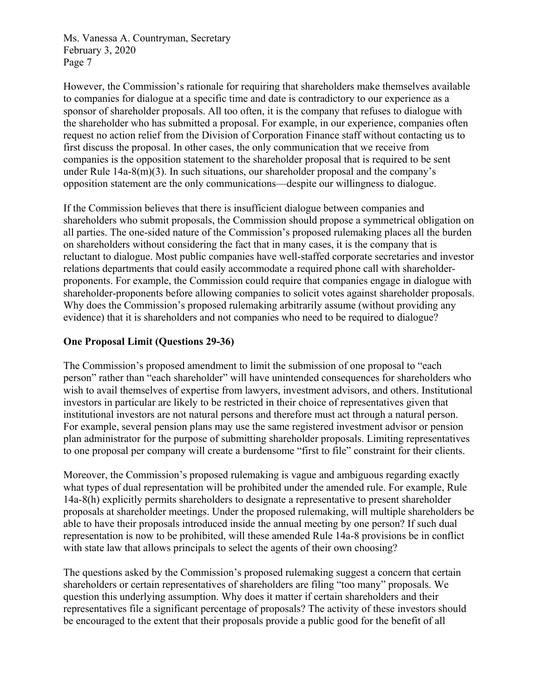However, the Commission's rationale for requiring that shareholders make themselves available to companies for dialogue at a specific time and date is contradictory to our experience as a sponsor of shareholder proposals. All too often, it is the company that refuses to dialogue with the shareholder who has submitted a proposal. For example, in our experience, companies often request no action relief from the Division of Corporation Finance staff without contacting us to first discuss the proposal. In other cases, the only communication that we receive from companies is the opposition statement to the shareholder proposal that is required to be sent under Rule 14a-8(m)(3). In such situations, our shareholder proposal and the company's opposition statement are the only communications—despite our willingness to dialogue.

If the Commission believes that there is insufficient dialogue between companies and shareholders who submit proposals, the Commission should propose a symmetrical obligation on all parties. The one-sided nature of the Commission's proposed rulemaking places all the burden on shareholders without considering the fact that in many cases, it is the company that is reluctant to dialogue. Most public companies have well-staffed corporate secretaries and investor relations departments that could easily accommodate a required phone call with shareholderproponents. For example, the Commission could require that companies engage in dialogue with shareholder-proponents before allowing companies to solicit votes against shareholder proposals. Why does the Commission's proposed rulemaking arbitrarily assume (without providing any evidence) that it is shareholders and not companies who need to be required to dialogue?

#### **One Proposal Limit (Questions 29-36)**

The Commission's proposed amendment to limit the submission of one proposal to "each person" rather than "each shareholder" will have unintended consequences for shareholders who wish to avail themselves of expertise from lawyers, investment advisors, and others. Institutional investors in particular are likely to be restricted in their choice of representatives given that institutional investors are not natural persons and therefore must act through a natural person. For example, several pension plans may use the same registered investment advisor or pension plan administrator for the purpose of submitting shareholder proposals. Limiting representatives to one proposal per company will create a burdensome "first to file" constraint for their clients.

Moreover, the Commission's proposed rulemaking is vague and ambiguous regarding exactly what types of dual representation will be prohibited under the amended rule. For example, Rule 14a-8(h) explicitly permits shareholders to designate a representative to present shareholder proposals at shareholder meetings. Under the proposed rulemaking, will multiple shareholders be able to have their proposals introduced inside the annual meeting by one person? If such dual representation is now to be prohibited, will these amended Rule 14a-8 provisions be in conflict with state law that allows principals to select the agents of their own choosing?

The questions asked by the Commission's proposed rulemaking suggest a concern that certain shareholders or certain representatives of shareholders are filing "too many" proposals. We question this underlying assumption. Why does it matter if certain shareholders and their representatives file a significant percentage of proposals? The activity of these investors should be encouraged to the extent that their proposals provide a public good for the benefit of all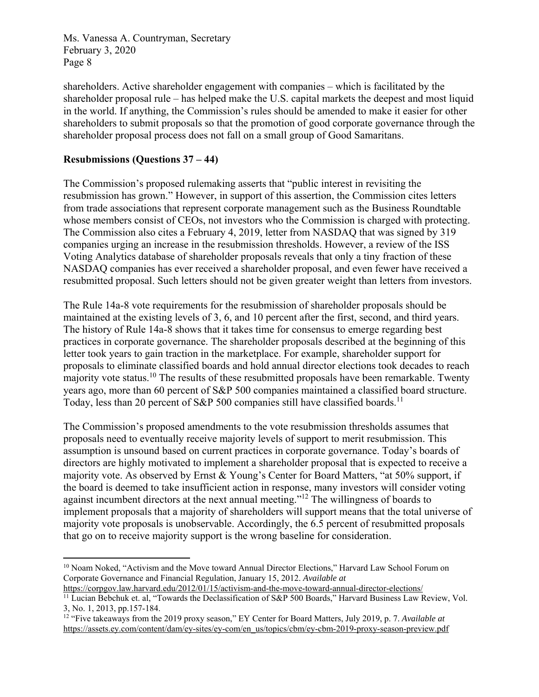shareholders. Active shareholder engagement with companies – which is facilitated by the shareholder proposal rule – has helped make the U.S. capital markets the deepest and most liquid in the world. If anything, the Commission's rules should be amended to make it easier for other shareholders to submit proposals so that the promotion of good corporate governance through the shareholder proposal process does not fall on a small group of Good Samaritans.

### **Resubmissions (Questions 37 – 44)**

The Commission's proposed rulemaking asserts that "public interest in revisiting the resubmission has grown." However, in support of this assertion, the Commission cites letters from trade associations that represent corporate management such as the Business Roundtable whose members consist of CEOs, not investors who the Commission is charged with protecting. The Commission also cites a February 4, 2019, letter from NASDAQ that was signed by 319 companies urging an increase in the resubmission thresholds. However, a review of the ISS Voting Analytics database of shareholder proposals reveals that only a tiny fraction of these NASDAQ companies has ever received a shareholder proposal, and even fewer have received a resubmitted proposal. Such letters should not be given greater weight than letters from investors.

The Rule 14a-8 vote requirements for the resubmission of shareholder proposals should be maintained at the existing levels of 3, 6, and 10 percent after the first, second, and third years. The history of Rule 14a-8 shows that it takes time for consensus to emerge regarding best practices in corporate governance. The shareholder proposals described at the beginning of this letter took years to gain traction in the marketplace. For example, shareholder support for proposals to eliminate classified boards and hold annual director elections took decades to reach majority vote status.<sup>10</sup> The results of these resubmitted proposals have been remarkable. Twenty years ago, more than 60 percent of S&P 500 companies maintained a classified board structure. Today, less than 20 percent of S&P 500 companies still have classified boards.<sup>11</sup>

The Commission's proposed amendments to the vote resubmission thresholds assumes that proposals need to eventually receive majority levels of support to merit resubmission. This assumption is unsound based on current practices in corporate governance. Today's boards of directors are highly motivated to implement a shareholder proposal that is expected to receive a majority vote. As observed by Ernst & Young's Center for Board Matters, "at 50% support, if the board is deemed to take insufficient action in response, many investors will consider voting against incumbent directors at the next annual meeting."12 The willingness of boards to implement proposals that a majority of shareholders will support means that the total universe of majority vote proposals is unobservable. Accordingly, the 6.5 percent of resubmitted proposals that go on to receive majority support is the wrong baseline for consideration.

 <sup>10</sup> Noam Noked, "Activism and the Move toward Annual Director Elections," Harvard Law School Forum on Corporate Governance and Financial Regulation, January 15, 2012. *Available at*

https://corpgov.law.harvard.edu/2012/01/15/activism-and-the-move-toward-annual-director-elections/<br><sup>11</sup> Lucian Bebchuk et. al, "Towards the Declassification of S&P 500 Boards," Harvard Business Law Review, Vol. 3, No. 1, 2013, pp.157-184.

<sup>12 &</sup>quot;Five takeaways from the 2019 proxy season," EY Center for Board Matters, July 2019, p. 7. *Available at* https://assets.ey.com/content/dam/ey-sites/ey-com/en\_us/topics/cbm/ey-cbm-2019-proxy-season-preview.pdf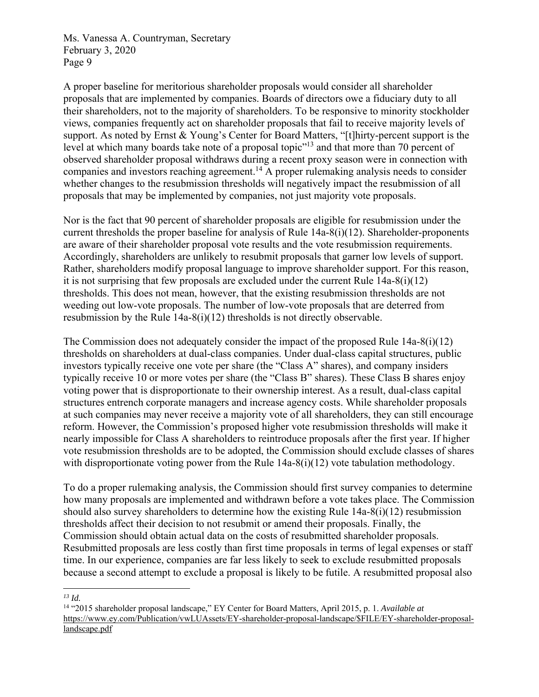A proper baseline for meritorious shareholder proposals would consider all shareholder proposals that are implemented by companies. Boards of directors owe a fiduciary duty to all their shareholders, not to the majority of shareholders. To be responsive to minority stockholder views, companies frequently act on shareholder proposals that fail to receive majority levels of support. As noted by Ernst & Young's Center for Board Matters, "[t]hirty-percent support is the level at which many boards take note of a proposal topic<sup>"13</sup> and that more than 70 percent of observed shareholder proposal withdraws during a recent proxy season were in connection with companies and investors reaching agreement.14 A proper rulemaking analysis needs to consider whether changes to the resubmission thresholds will negatively impact the resubmission of all proposals that may be implemented by companies, not just majority vote proposals.

Nor is the fact that 90 percent of shareholder proposals are eligible for resubmission under the current thresholds the proper baseline for analysis of Rule 14a-8(i)(12). Shareholder-proponents are aware of their shareholder proposal vote results and the vote resubmission requirements. Accordingly, shareholders are unlikely to resubmit proposals that garner low levels of support. Rather, shareholders modify proposal language to improve shareholder support. For this reason, it is not surprising that few proposals are excluded under the current Rule  $14a-8(i)(12)$ thresholds. This does not mean, however, that the existing resubmission thresholds are not weeding out low-vote proposals. The number of low-vote proposals that are deterred from resubmission by the Rule 14a-8(i)(12) thresholds is not directly observable.

The Commission does not adequately consider the impact of the proposed Rule 14a-8(i)(12) thresholds on shareholders at dual-class companies. Under dual-class capital structures, public investors typically receive one vote per share (the "Class A" shares), and company insiders typically receive 10 or more votes per share (the "Class B" shares). These Class B shares enjoy voting power that is disproportionate to their ownership interest. As a result, dual-class capital structures entrench corporate managers and increase agency costs. While shareholder proposals at such companies may never receive a majority vote of all shareholders, they can still encourage reform. However, the Commission's proposed higher vote resubmission thresholds will make it nearly impossible for Class A shareholders to reintroduce proposals after the first year. If higher vote resubmission thresholds are to be adopted, the Commission should exclude classes of shares with disproportionate voting power from the Rule  $14a-8(i)(12)$  vote tabulation methodology.

To do a proper rulemaking analysis, the Commission should first survey companies to determine how many proposals are implemented and withdrawn before a vote takes place. The Commission should also survey shareholders to determine how the existing Rule 14a-8(i)(12) resubmission thresholds affect their decision to not resubmit or amend their proposals. Finally, the Commission should obtain actual data on the costs of resubmitted shareholder proposals. Resubmitted proposals are less costly than first time proposals in terms of legal expenses or staff time. In our experience, companies are far less likely to seek to exclude resubmitted proposals because a second attempt to exclude a proposal is likely to be futile. A resubmitted proposal also

 *13 Id.* 

<sup>14 &</sup>quot;2015 shareholder proposal landscape," EY Center for Board Matters, April 2015, p. 1. *Available at* https://www.ey.com/Publication/vwLUAssets/EY-shareholder-proposal-landscape/\$FILE/EY-shareholder-proposallandscape.pdf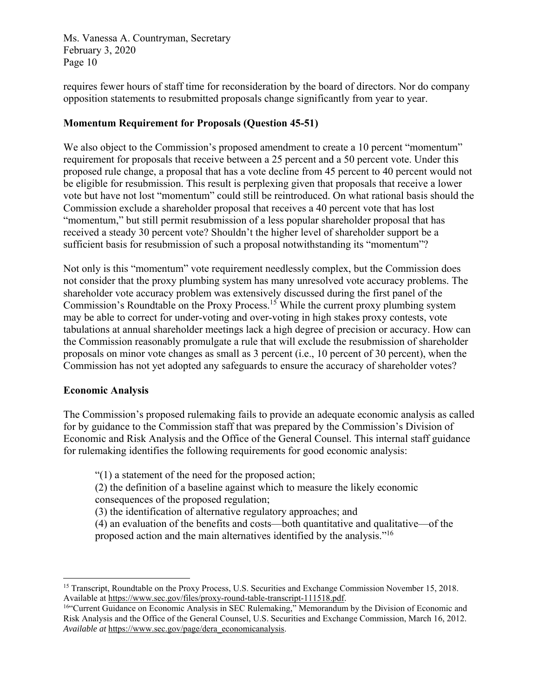requires fewer hours of staff time for reconsideration by the board of directors. Nor do company opposition statements to resubmitted proposals change significantly from year to year.

# **Momentum Requirement for Proposals (Question 45-51)**

We also object to the Commission's proposed amendment to create a 10 percent "momentum" requirement for proposals that receive between a 25 percent and a 50 percent vote. Under this proposed rule change, a proposal that has a vote decline from 45 percent to 40 percent would not be eligible for resubmission. This result is perplexing given that proposals that receive a lower vote but have not lost "momentum" could still be reintroduced. On what rational basis should the Commission exclude a shareholder proposal that receives a 40 percent vote that has lost "momentum," but still permit resubmission of a less popular shareholder proposal that has received a steady 30 percent vote? Shouldn't the higher level of shareholder support be a sufficient basis for resubmission of such a proposal notwithstanding its "momentum"?

Not only is this "momentum" vote requirement needlessly complex, but the Commission does not consider that the proxy plumbing system has many unresolved vote accuracy problems. The shareholder vote accuracy problem was extensively discussed during the first panel of the Commission's Roundtable on the Proxy Process.15 While the current proxy plumbing system may be able to correct for under-voting and over-voting in high stakes proxy contests, vote tabulations at annual shareholder meetings lack a high degree of precision or accuracy. How can the Commission reasonably promulgate a rule that will exclude the resubmission of shareholder proposals on minor vote changes as small as 3 percent (i.e., 10 percent of 30 percent), when the Commission has not yet adopted any safeguards to ensure the accuracy of shareholder votes?

### **Economic Analysis**

The Commission's proposed rulemaking fails to provide an adequate economic analysis as called for by guidance to the Commission staff that was prepared by the Commission's Division of Economic and Risk Analysis and the Office of the General Counsel. This internal staff guidance for rulemaking identifies the following requirements for good economic analysis:

"(1) a statement of the need for the proposed action;

(2) the definition of a baseline against which to measure the likely economic consequences of the proposed regulation;

(3) the identification of alternative regulatory approaches; and

(4) an evaluation of the benefits and costs—both quantitative and qualitative—of the proposed action and the main alternatives identified by the analysis."<sup>16</sup>

 <sup>15</sup> Transcript, Roundtable on the Proxy Process, U.S. Securities and Exchange Commission November 15, 2018. Available at https://www.sec.gov/files/proxy-round-table-transcript-111518.pdf.

<sup>16&</sup>quot;Current Guidance on Economic Analysis in SEC Rulemaking," Memorandum by the Division of Economic and Risk Analysis and the Office of the General Counsel, U.S. Securities and Exchange Commission, March 16, 2012. *Available at* https://www.sec.gov/page/dera\_economicanalysis.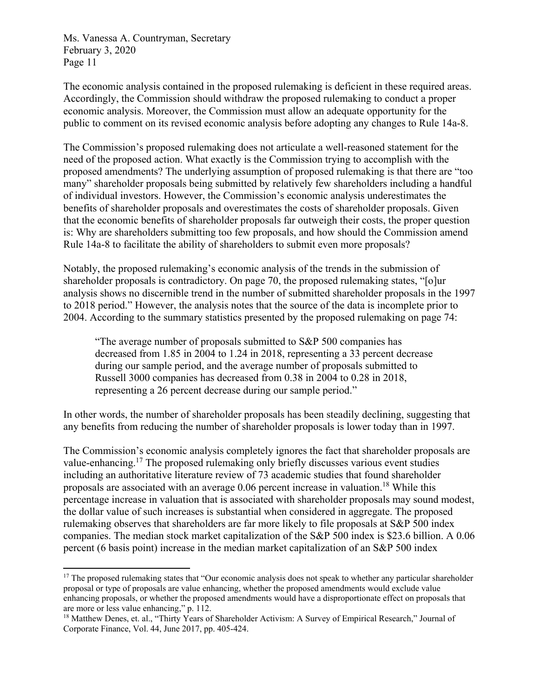The economic analysis contained in the proposed rulemaking is deficient in these required areas. Accordingly, the Commission should withdraw the proposed rulemaking to conduct a proper economic analysis. Moreover, the Commission must allow an adequate opportunity for the public to comment on its revised economic analysis before adopting any changes to Rule 14a-8.

The Commission's proposed rulemaking does not articulate a well-reasoned statement for the need of the proposed action. What exactly is the Commission trying to accomplish with the proposed amendments? The underlying assumption of proposed rulemaking is that there are "too many" shareholder proposals being submitted by relatively few shareholders including a handful of individual investors. However, the Commission's economic analysis underestimates the benefits of shareholder proposals and overestimates the costs of shareholder proposals. Given that the economic benefits of shareholder proposals far outweigh their costs, the proper question is: Why are shareholders submitting too few proposals, and how should the Commission amend Rule 14a-8 to facilitate the ability of shareholders to submit even more proposals?

Notably, the proposed rulemaking's economic analysis of the trends in the submission of shareholder proposals is contradictory. On page 70, the proposed rulemaking states, "[o]ur analysis shows no discernible trend in the number of submitted shareholder proposals in the 1997 to 2018 period." However, the analysis notes that the source of the data is incomplete prior to 2004. According to the summary statistics presented by the proposed rulemaking on page 74:

"The average number of proposals submitted to S&P 500 companies has decreased from 1.85 in 2004 to 1.24 in 2018, representing a 33 percent decrease during our sample period, and the average number of proposals submitted to Russell 3000 companies has decreased from 0.38 in 2004 to 0.28 in 2018, representing a 26 percent decrease during our sample period."

In other words, the number of shareholder proposals has been steadily declining, suggesting that any benefits from reducing the number of shareholder proposals is lower today than in 1997.

The Commission's economic analysis completely ignores the fact that shareholder proposals are value-enhancing.<sup>17</sup> The proposed rulemaking only briefly discusses various event studies including an authoritative literature review of 73 academic studies that found shareholder proposals are associated with an average  $0.06$  percent increase in valuation.<sup>18</sup> While this percentage increase in valuation that is associated with shareholder proposals may sound modest, the dollar value of such increases is substantial when considered in aggregate. The proposed rulemaking observes that shareholders are far more likely to file proposals at S&P 500 index companies. The median stock market capitalization of the S&P 500 index is \$23.6 billion. A 0.06 percent (6 basis point) increase in the median market capitalization of an S&P 500 index

 $17$  The proposed rulemaking states that "Our economic analysis does not speak to whether any particular shareholder proposal or type of proposals are value enhancing, whether the proposed amendments would exclude value enhancing proposals, or whether the proposed amendments would have a disproportionate effect on proposals that are more or less value enhancing," p. 112.

<sup>&</sup>lt;sup>18</sup> Matthew Denes, et. al., "Thirty Years of Shareholder Activism: A Survey of Empirical Research," Journal of Corporate Finance, Vol. 44, June 2017, pp. 405-424.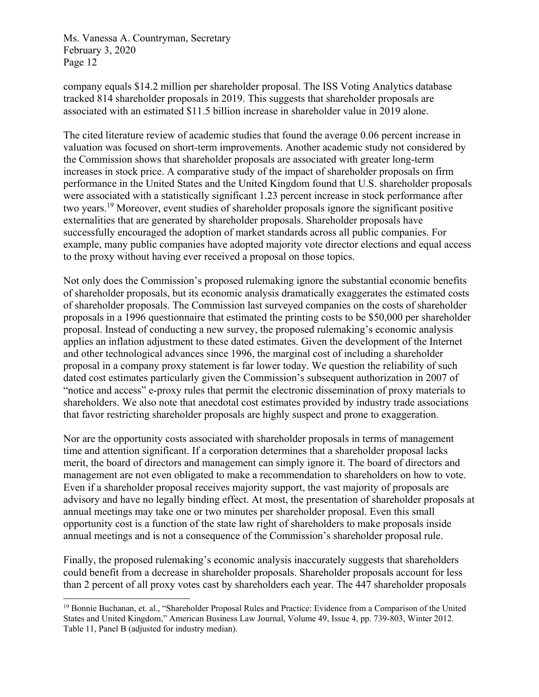company equals \$14.2 million per shareholder proposal. The ISS Voting Analytics database tracked 814 shareholder proposals in 2019. This suggests that shareholder proposals are associated with an estimated \$11.5 billion increase in shareholder value in 2019 alone.

The cited literature review of academic studies that found the average 0.06 percent increase in valuation was focused on short-term improvements. Another academic study not considered by the Commission shows that shareholder proposals are associated with greater long-term increases in stock price. A comparative study of the impact of shareholder proposals on firm performance in the United States and the United Kingdom found that U.S. shareholder proposals were associated with a statistically significant 1.23 percent increase in stock performance after two years.19 Moreover, event studies of shareholder proposals ignore the significant positive externalities that are generated by shareholder proposals. Shareholder proposals have successfully encouraged the adoption of market standards across all public companies. For example, many public companies have adopted majority vote director elections and equal access to the proxy without having ever received a proposal on those topics.

Not only does the Commission's proposed rulemaking ignore the substantial economic benefits of shareholder proposals, but its economic analysis dramatically exaggerates the estimated costs of shareholder proposals. The Commission last surveyed companies on the costs of shareholder proposals in a 1996 questionnaire that estimated the printing costs to be \$50,000 per shareholder proposal. Instead of conducting a new survey, the proposed rulemaking's economic analysis applies an inflation adjustment to these dated estimates. Given the development of the Internet and other technological advances since 1996, the marginal cost of including a shareholder proposal in a company proxy statement is far lower today. We question the reliability of such dated cost estimates particularly given the Commission's subsequent authorization in 2007 of "notice and access" e-proxy rules that permit the electronic dissemination of proxy materials to shareholders. We also note that anecdotal cost estimates provided by industry trade associations that favor restricting shareholder proposals are highly suspect and prone to exaggeration.

Nor are the opportunity costs associated with shareholder proposals in terms of management time and attention significant. If a corporation determines that a shareholder proposal lacks merit, the board of directors and management can simply ignore it. The board of directors and management are not even obligated to make a recommendation to shareholders on how to vote. Even if a shareholder proposal receives majority support, the vast majority of proposals are advisory and have no legally binding effect. At most, the presentation of shareholder proposals at annual meetings may take one or two minutes per shareholder proposal. Even this small opportunity cost is a function of the state law right of shareholders to make proposals inside annual meetings and is not a consequence of the Commission's shareholder proposal rule.

Finally, the proposed rulemaking's economic analysis inaccurately suggests that shareholders could benefit from a decrease in shareholder proposals. Shareholder proposals account for less than 2 percent of all proxy votes cast by shareholders each year. The 447 shareholder proposals

 <sup>19</sup> Bonnie Buchanan, et. al., "Shareholder Proposal Rules and Practice: Evidence from a Comparison of the United States and United Kingdom," American Business Law Journal, Volume 49, Issue 4, pp. 739-803, Winter 2012. Table 11, Panel B (adjusted for industry median).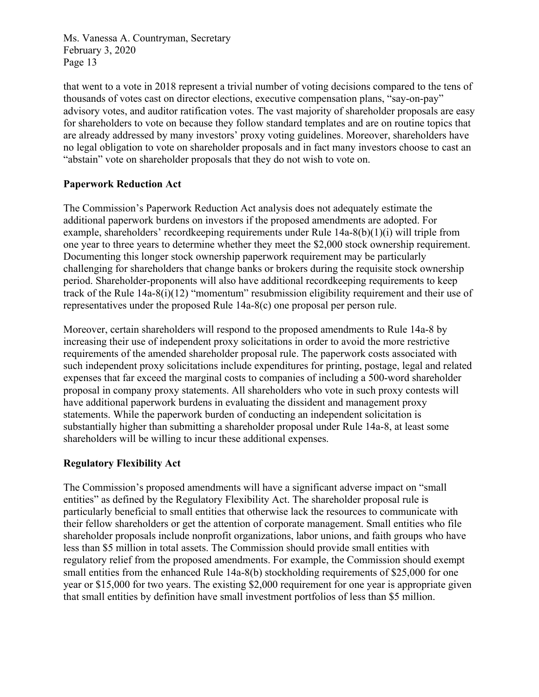that went to a vote in 2018 represent a trivial number of voting decisions compared to the tens of thousands of votes cast on director elections, executive compensation plans, "say-on-pay" advisory votes, and auditor ratification votes. The vast majority of shareholder proposals are easy for shareholders to vote on because they follow standard templates and are on routine topics that are already addressed by many investors' proxy voting guidelines. Moreover, shareholders have no legal obligation to vote on shareholder proposals and in fact many investors choose to cast an "abstain" vote on shareholder proposals that they do not wish to vote on.

## **Paperwork Reduction Act**

The Commission's Paperwork Reduction Act analysis does not adequately estimate the additional paperwork burdens on investors if the proposed amendments are adopted. For example, shareholders' recordkeeping requirements under Rule 14a-8(b)(1)(i) will triple from one year to three years to determine whether they meet the \$2,000 stock ownership requirement. Documenting this longer stock ownership paperwork requirement may be particularly challenging for shareholders that change banks or brokers during the requisite stock ownership period. Shareholder-proponents will also have additional recordkeeping requirements to keep track of the Rule 14a-8(i)(12) "momentum" resubmission eligibility requirement and their use of representatives under the proposed Rule 14a-8(c) one proposal per person rule.

Moreover, certain shareholders will respond to the proposed amendments to Rule 14a-8 by increasing their use of independent proxy solicitations in order to avoid the more restrictive requirements of the amended shareholder proposal rule. The paperwork costs associated with such independent proxy solicitations include expenditures for printing, postage, legal and related expenses that far exceed the marginal costs to companies of including a 500-word shareholder proposal in company proxy statements. All shareholders who vote in such proxy contests will have additional paperwork burdens in evaluating the dissident and management proxy statements. While the paperwork burden of conducting an independent solicitation is substantially higher than submitting a shareholder proposal under Rule 14a-8, at least some shareholders will be willing to incur these additional expenses.

# **Regulatory Flexibility Act**

The Commission's proposed amendments will have a significant adverse impact on "small entities" as defined by the Regulatory Flexibility Act. The shareholder proposal rule is particularly beneficial to small entities that otherwise lack the resources to communicate with their fellow shareholders or get the attention of corporate management. Small entities who file shareholder proposals include nonprofit organizations, labor unions, and faith groups who have less than \$5 million in total assets. The Commission should provide small entities with regulatory relief from the proposed amendments. For example, the Commission should exempt small entities from the enhanced Rule 14a-8(b) stockholding requirements of \$25,000 for one year or \$15,000 for two years. The existing \$2,000 requirement for one year is appropriate given that small entities by definition have small investment portfolios of less than \$5 million.